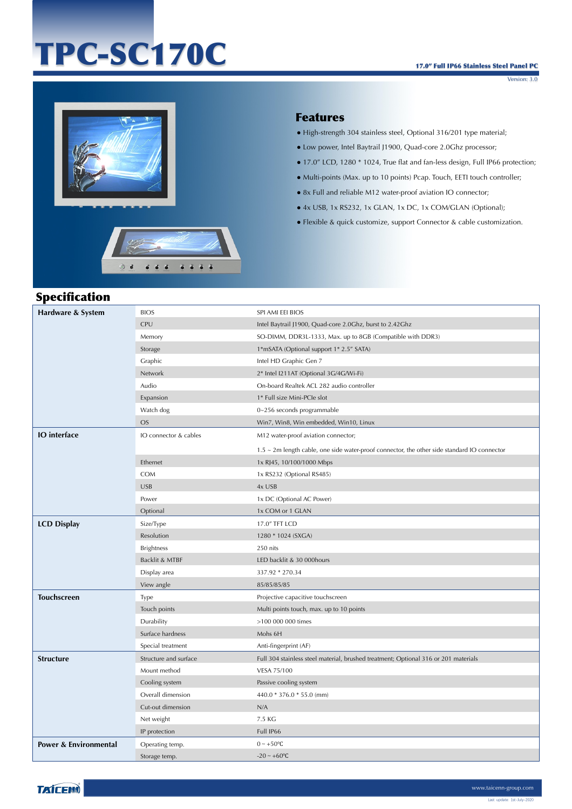## TPC-SC170C

Version: 3.0



 $\odot$   $\ddot{\bullet}$ 

 $666$ 

 $6666$ 



- High-strength 304 stainless steel, Optional 316/201 type material;
- Low power, Intel Baytrail J1900, Quad-core 2.0Ghz processor;
- 17.0" LCD, 1280 \* 1024, True flat and fan-less design, Full IP66 protection;
- Multi-points (Max. up to 10 points) Pcap. Touch, EETI touch controller;
- 8x Full and reliable M12 water-proof aviation IO connector;
- 4x USB, 1x RS232, 1x GLAN, 1x DC, 1x COM/GLAN (Optional);
- Flexible & quick customize, support Connector & cable customization.

## Specification

| Hardware & System                | <b>BIOS</b>           | SPI AMI EEI BIOS                                                                            |
|----------------------------------|-----------------------|---------------------------------------------------------------------------------------------|
|                                  | <b>CPU</b>            | Intel Baytrail J1900, Quad-core 2.0Ghz, burst to 2.42Ghz                                    |
|                                  | Memory                | SO-DIMM, DDR3L-1333, Max. up to 8GB (Compatible with DDR3)                                  |
|                                  | Storage               | 1*mSATA (Optional support 1* 2.5" SATA)                                                     |
|                                  | Graphic               | Intel HD Graphic Gen 7                                                                      |
|                                  | Network               | 2* Intel I211AT (Optional 3G/4G/Wi-Fi)                                                      |
|                                  | Audio                 | On-board Realtek ACL 282 audio controller                                                   |
|                                  | Expansion             | 1* Full size Mini-PCIe slot                                                                 |
|                                  | Watch dog             | 0~256 seconds programmable                                                                  |
|                                  | <b>OS</b>             | Win7, Win8, Win embedded, Win10, Linux                                                      |
| <b>IO</b> interface              | IO connector & cables | M12 water-proof aviation connector;                                                         |
|                                  |                       | 1.5 ~ 2m length cable, one side water-proof connector, the other side standard IO connector |
|                                  | Ethernet              | 1x RJ45, 10/100/1000 Mbps                                                                   |
|                                  | <b>COM</b>            | 1x RS232 (Optional RS485)                                                                   |
|                                  | <b>USB</b>            | 4x USB                                                                                      |
|                                  | Power                 | 1x DC (Optional AC Power)                                                                   |
|                                  | Optional              | 1x COM or 1 GLAN                                                                            |
| <b>LCD Display</b>               | Size/Type             | 17.0" TFT LCD                                                                               |
|                                  | Resolution            | 1280 * 1024 (SXGA)                                                                          |
|                                  | <b>Brightness</b>     | 250 nits                                                                                    |
|                                  | Backlit & MTBF        | LED backlit & 30 000hours                                                                   |
|                                  | Display area          | 337.92 * 270.34                                                                             |
|                                  | View angle            | 85/85/85/85                                                                                 |
| <b>Touchscreen</b>               | Type                  | Projective capacitive touchscreen                                                           |
|                                  | Touch points          | Multi points touch, max. up to 10 points                                                    |
|                                  | Durability            | >100 000 000 times                                                                          |
|                                  | Surface hardness      | Mohs 6H                                                                                     |
|                                  | Special treatment     | Anti-fingerprint (AF)                                                                       |
| <b>Structure</b>                 | Structure and surface | Full 304 stainless steel material, brushed treatment; Optional 316 or 201 materials         |
|                                  | Mount method          | VESA 75/100                                                                                 |
|                                  | Cooling system        | Passive cooling system                                                                      |
|                                  | Overall dimension     | 440.0 * 376.0 * 55.0 (mm)                                                                   |
|                                  | Cut-out dimension     | N/A                                                                                         |
|                                  | Net weight            | 7.5 KG                                                                                      |
|                                  | IP protection         | Full IP66                                                                                   |
| <b>Power &amp; Environmental</b> | Operating temp.       | $0 \sim +50$ °C                                                                             |
|                                  | Storage temp.         | $-20 \sim +60$ °C                                                                           |